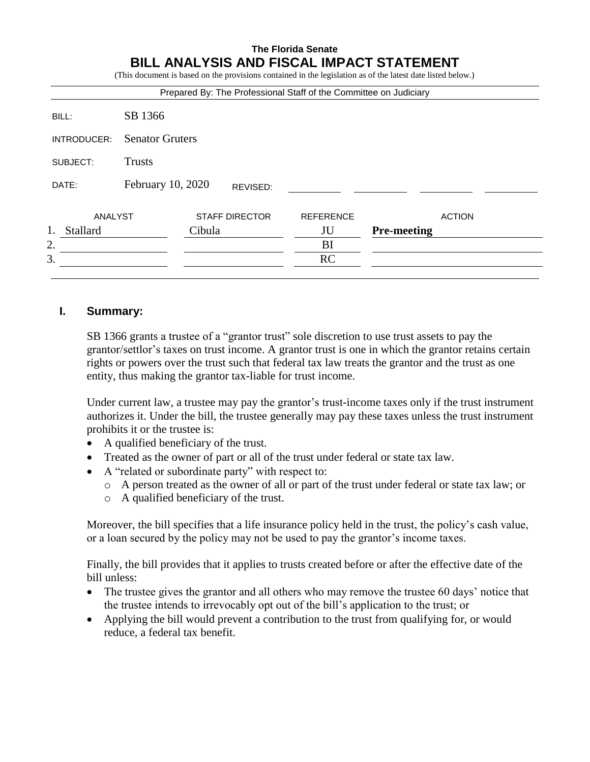# **The Florida Senate BILL ANALYSIS AND FISCAL IMPACT STATEMENT**

(This document is based on the provisions contained in the legislation as of the latest date listed below.)

|             |                        | Prepared By: The Professional Staff of the Committee on Judiciary |                  |                    |
|-------------|------------------------|-------------------------------------------------------------------|------------------|--------------------|
| BILL:       | SB 1366                |                                                                   |                  |                    |
| INTRODUCER: | <b>Senator Gruters</b> |                                                                   |                  |                    |
| SUBJECT:    | <b>Trusts</b>          |                                                                   |                  |                    |
| DATE:       | February 10, 2020      | REVISED:                                                          |                  |                    |
| ANALYST     |                        | <b>STAFF DIRECTOR</b>                                             | <b>REFERENCE</b> | <b>ACTION</b>      |
| Stallard    |                        | Cibula                                                            | JU               | <b>Pre-meeting</b> |
| 2.          |                        |                                                                   | BI               |                    |
| 3.          |                        |                                                                   | RC               |                    |

## **I. Summary:**

SB 1366 grants a trustee of a "grantor trust" sole discretion to use trust assets to pay the grantor/settlor's taxes on trust income. A grantor trust is one in which the grantor retains certain rights or powers over the trust such that federal tax law treats the grantor and the trust as one entity, thus making the grantor tax-liable for trust income.

Under current law, a trustee may pay the grantor's trust-income taxes only if the trust instrument authorizes it. Under the bill, the trustee generally may pay these taxes unless the trust instrument prohibits it or the trustee is:

- A qualified beneficiary of the trust.
- Treated as the owner of part or all of the trust under federal or state tax law.
- A "related or subordinate party" with respect to:
	- o A person treated as the owner of all or part of the trust under federal or state tax law; or
	- o A qualified beneficiary of the trust.

Moreover, the bill specifies that a life insurance policy held in the trust, the policy's cash value, or a loan secured by the policy may not be used to pay the grantor's income taxes.

Finally, the bill provides that it applies to trusts created before or after the effective date of the bill unless:

- The trustee gives the grantor and all others who may remove the trustee 60 days' notice that the trustee intends to irrevocably opt out of the bill's application to the trust; or
- Applying the bill would prevent a contribution to the trust from qualifying for, or would reduce, a federal tax benefit.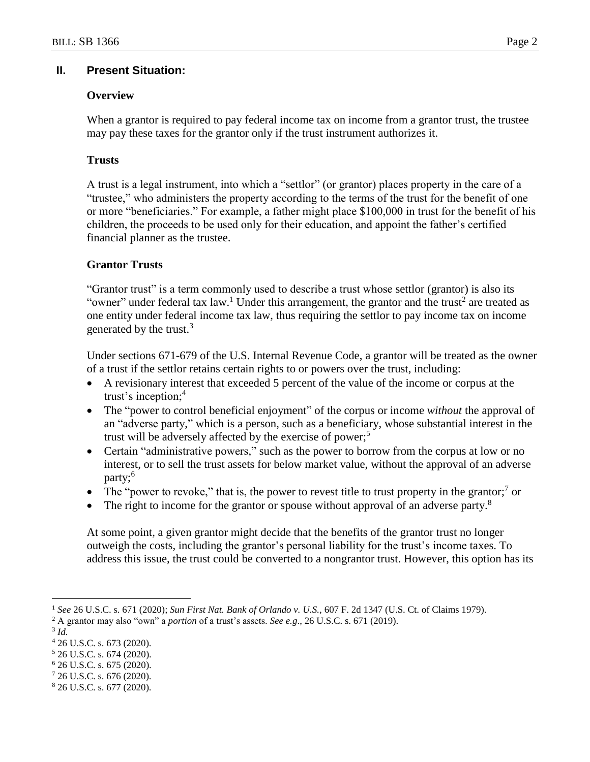### **II. Present Situation:**

## **Overview**

When a grantor is required to pay federal income tax on income from a grantor trust, the trustee may pay these taxes for the grantor only if the trust instrument authorizes it.

### **Trusts**

A trust is a legal instrument, into which a "settlor" (or grantor) places property in the care of a "trustee," who administers the property according to the terms of the trust for the benefit of one or more "beneficiaries." For example, a father might place \$100,000 in trust for the benefit of his children, the proceeds to be used only for their education, and appoint the father's certified financial planner as the trustee.

## **Grantor Trusts**

"Grantor trust" is a term commonly used to describe a trust whose settlor (grantor) is also its "owner" under federal tax law.<sup>1</sup> Under this arrangement, the grantor and the trust<sup>2</sup> are treated as one entity under federal income tax law, thus requiring the settlor to pay income tax on income generated by the trust. $3$ 

Under sections 671-679 of the U.S. Internal Revenue Code, a grantor will be treated as the owner of a trust if the settlor retains certain rights to or powers over the trust, including:

- A revisionary interest that exceeded 5 percent of the value of the income or corpus at the trust's inception;<sup>4</sup>
- The "power to control beneficial enjoyment" of the corpus or income *without* the approval of an "adverse party," which is a person, such as a beneficiary, whose substantial interest in the trust will be adversely affected by the exercise of power; 5
- Certain "administrative powers," such as the power to borrow from the corpus at low or no interest, or to sell the trust assets for below market value, without the approval of an adverse party;<sup>6</sup>
- The "power to revoke," that is, the power to revest title to trust property in the grantor;<sup>7</sup> or
- $\bullet$  The right to income for the grantor or spouse without approval of an adverse party.<sup>8</sup>

At some point, a given grantor might decide that the benefits of the grantor trust no longer outweigh the costs, including the grantor's personal liability for the trust's income taxes. To address this issue, the trust could be converted to a nongrantor trust. However, this option has its

3 *Id.*

 $\overline{a}$ 

<sup>1</sup> *See* 26 U.S.C. s. 671 (2020); *Sun First Nat. Bank of Orlando v. U.S.,* 607 F. 2d 1347 (U.S. Ct. of Claims 1979).

<sup>2</sup> A grantor may also "own" a *portion* of a trust's assets. *See e.g*., 26 U.S.C. s. 671 (2019).

<sup>4</sup> 26 U.S.C. s. 673 (2020).

<sup>5</sup> 26 U.S.C. s. 674 (2020).

 $6$  26 U.S.C. s. 675 (2020).

<sup>7</sup> 26 U.S.C. s. 676 (2020).

<sup>8</sup> 26 U.S.C. s. 677 (2020).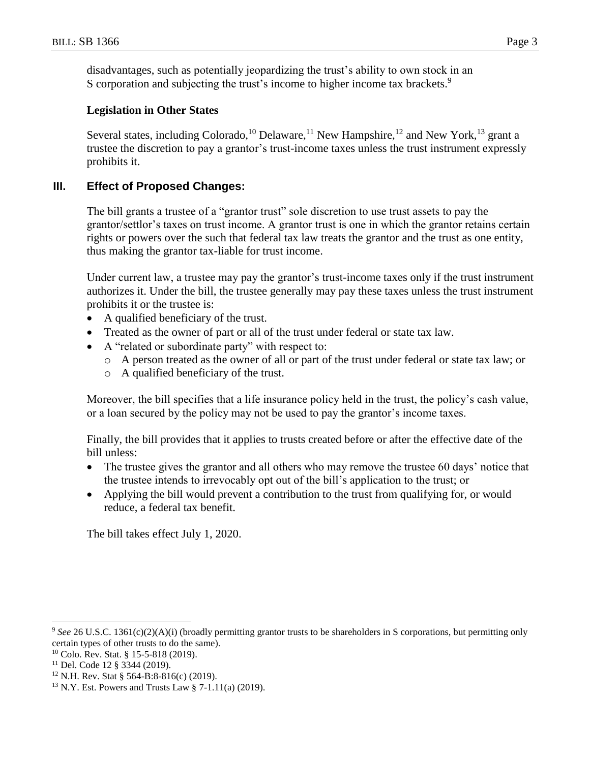disadvantages, such as potentially jeopardizing the trust's ability to own stock in an S corporation and subjecting the trust's income to higher income tax brackets.<sup>9</sup>

## **Legislation in Other States**

Several states, including Colorado,<sup>10</sup> Delaware,<sup>11</sup> New Hampshire,<sup>12</sup> and New York,<sup>13</sup> grant a trustee the discretion to pay a grantor's trust-income taxes unless the trust instrument expressly prohibits it.

# **III. Effect of Proposed Changes:**

The bill grants a trustee of a "grantor trust" sole discretion to use trust assets to pay the grantor/settlor's taxes on trust income. A grantor trust is one in which the grantor retains certain rights or powers over the such that federal tax law treats the grantor and the trust as one entity, thus making the grantor tax-liable for trust income.

Under current law, a trustee may pay the grantor's trust-income taxes only if the trust instrument authorizes it. Under the bill, the trustee generally may pay these taxes unless the trust instrument prohibits it or the trustee is:

- A qualified beneficiary of the trust.
- Treated as the owner of part or all of the trust under federal or state tax law.
- A "related or subordinate party" with respect to:
	- o A person treated as the owner of all or part of the trust under federal or state tax law; or
	- o A qualified beneficiary of the trust.

Moreover, the bill specifies that a life insurance policy held in the trust, the policy's cash value, or a loan secured by the policy may not be used to pay the grantor's income taxes.

Finally, the bill provides that it applies to trusts created before or after the effective date of the bill unless:

- The trustee gives the grantor and all others who may remove the trustee 60 days' notice that the trustee intends to irrevocably opt out of the bill's application to the trust; or
- Applying the bill would prevent a contribution to the trust from qualifying for, or would reduce, a federal tax benefit.

The bill takes effect July 1, 2020.

 $\overline{a}$ 

<sup>&</sup>lt;sup>9</sup> See 26 U.S.C. 1361(c)(2)(A)(i) (broadly permitting grantor trusts to be shareholders in S corporations, but permitting only certain types of other trusts to do the same).

<sup>10</sup> Colo. Rev. Stat. § 15-5-818 (2019).

<sup>11</sup> Del. Code 12 § 3344 (2019).

<sup>12</sup> N.H. Rev. Stat § 564-B:8-816(c) (2019).

<sup>13</sup> N.Y. Est. Powers and Trusts Law § 7-1.11(a) (2019).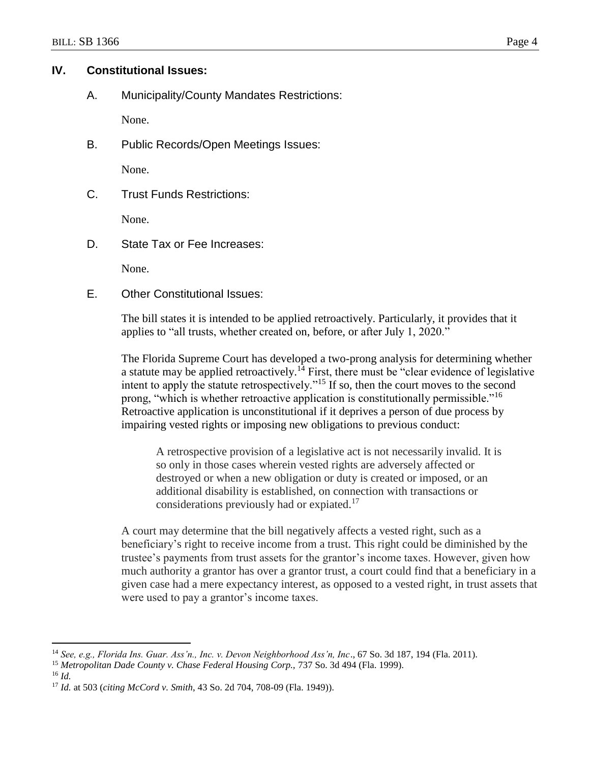## **IV. Constitutional Issues:**

A. Municipality/County Mandates Restrictions:

None.

B. Public Records/Open Meetings Issues:

None.

C. Trust Funds Restrictions:

None.

D. State Tax or Fee Increases:

None.

E. Other Constitutional Issues:

The bill states it is intended to be applied retroactively. Particularly, it provides that it applies to "all trusts, whether created on, before, or after July 1, 2020."

The Florida Supreme Court has developed a two-prong analysis for determining whether a statute may be applied retroactively.<sup>14</sup> First, there must be "clear evidence of legislative" intent to apply the statute retrospectively."<sup>15</sup> If so, then the court moves to the second prong, "which is whether retroactive application is constitutionally permissible."<sup>16</sup> Retroactive application is unconstitutional if it deprives a person of due process by impairing vested rights or imposing new obligations to previous conduct:

A retrospective provision of a legislative act is not necessarily invalid. It is so only in those cases wherein vested rights are adversely affected or destroyed or when a new obligation or duty is created or imposed, or an additional disability is established, on connection with transactions or considerations previously had or expiated.<sup>17</sup>

A court may determine that the bill negatively affects a vested right, such as a beneficiary's right to receive income from a trust. This right could be diminished by the trustee's payments from trust assets for the grantor's income taxes. However, given how much authority a grantor has over a grantor trust, a court could find that a beneficiary in a given case had a mere expectancy interest, as opposed to a vested right, in trust assets that were used to pay a grantor's income taxes.

<sup>16</sup> *Id.*

 $\overline{a}$ 

<sup>14</sup> *See, e.g., Florida Ins. Guar. Ass'n., Inc. v. Devon Neighborhood Ass'n, Inc*., 67 So. 3d 187, 194 (Fla. 2011).

<sup>15</sup> *Metropolitan Dade County v. Chase Federal Housing Corp.,* 737 So. 3d 494 (Fla. 1999).

<sup>17</sup> *Id.* at 503 (*citing McCord v. Smith*, 43 So. 2d 704, 708-09 (Fla. 1949)).